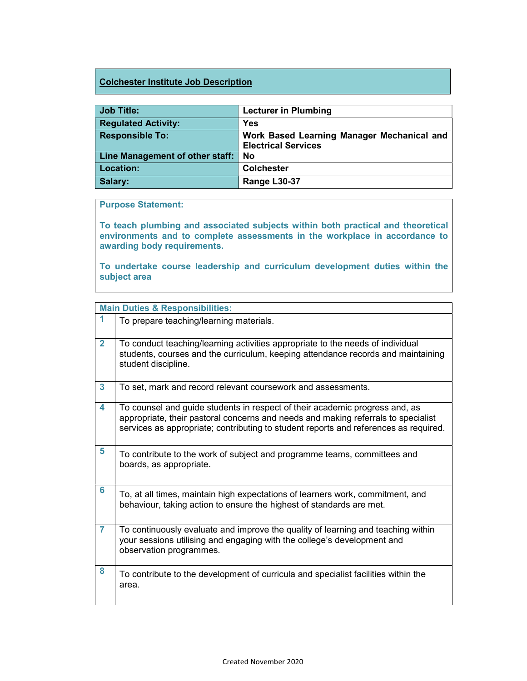## Colchester Institute Job Description

| <b>Job Title:</b>               | <b>Lecturer in Plumbing</b>                |
|---------------------------------|--------------------------------------------|
| <b>Regulated Activity:</b>      | <b>Yes</b>                                 |
| <b>Responsible To:</b>          | Work Based Learning Manager Mechanical and |
|                                 | <b>Electrical Services</b>                 |
| Line Management of other staff: | No                                         |
| <b>Location:</b>                | <b>Colchester</b>                          |
| Salary:                         | Range L30-37                               |

## Purpose Statement:

To teach plumbing and associated subjects within both practical and theoretical environments and to complete assessments in the workplace in accordance to awarding body requirements.

To undertake course leadership and curriculum development duties within the subject area

| <b>Main Duties &amp; Responsibilities:</b> |                                                                                                                                                                                                                                                          |
|--------------------------------------------|----------------------------------------------------------------------------------------------------------------------------------------------------------------------------------------------------------------------------------------------------------|
| 1                                          | To prepare teaching/learning materials.                                                                                                                                                                                                                  |
| $\overline{2}$                             | To conduct teaching/learning activities appropriate to the needs of individual<br>students, courses and the curriculum, keeping attendance records and maintaining<br>student discipline.                                                                |
| $\overline{\mathbf{3}}$                    | To set, mark and record relevant coursework and assessments.                                                                                                                                                                                             |
| 4                                          | To counsel and guide students in respect of their academic progress and, as<br>appropriate, their pastoral concerns and needs and making referrals to specialist<br>services as appropriate; contributing to student reports and references as required. |
| 5                                          | To contribute to the work of subject and programme teams, committees and<br>boards, as appropriate.                                                                                                                                                      |
| 6                                          | To, at all times, maintain high expectations of learners work, commitment, and<br>behaviour, taking action to ensure the highest of standards are met.                                                                                                   |
| $\overline{7}$                             | To continuously evaluate and improve the quality of learning and teaching within<br>your sessions utilising and engaging with the college's development and<br>observation programmes.                                                                   |
| 8                                          | To contribute to the development of curricula and specialist facilities within the<br>area.                                                                                                                                                              |